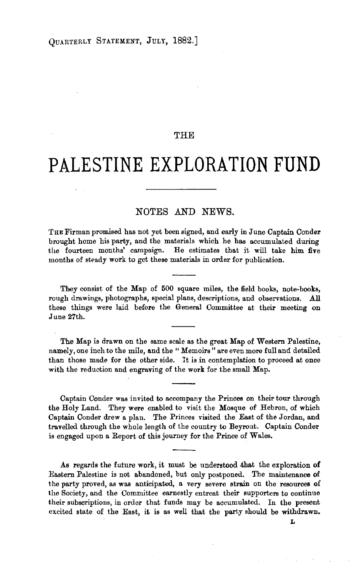## THE

## **PALESTINE EXPLORATION FUND**

## NOTES AND NEWS.

THE Firman promised has not yet been signed, and early in June Captain Conder brought home his party, and the materials which he has accumulated during the fourteen months' campaign. He estimates that it will take him five months of steady work to get these materials in order for publication.

They consist of the Map of 500 square miles, the field books, note-books, rough drawings, photographs, special plans, descriptions, and observations. All these things were laid before the General Committee at their meeting on June 27th.

The Map is drawn on the same scale as the great Map of Western Palestine, namely, one inch to the mile, and the "Memoirs" are even more full and detailed than those made for the other side. It is in contemplation to proceed at once with the reduction and engraving of the work for the small Map.

Captain Conder was invited to accompany the Princes on their tour through the Holy Land. They were enabled to visit the Mosque of Hebron, of which Captain Conder drew a plan. The Princes visited the East of the Jordan, and travelled through the whole length of the country to Beyrout. Captain Conder is engaged upon a Report of this journey for the Prince of Wales.

As regards the future work, it must be understood .that the exploration of Eastern Palestine is not abandoned, but only postponed. The maintenance of the party proved, as was anticipated, a very severe strain on the resources of the Society, and the Committee earnestly entreat their supporters to continue their subscriptions, in order that funds may be accumulated. In the present excited state of the East, it is as well that the party should be withdrawn.